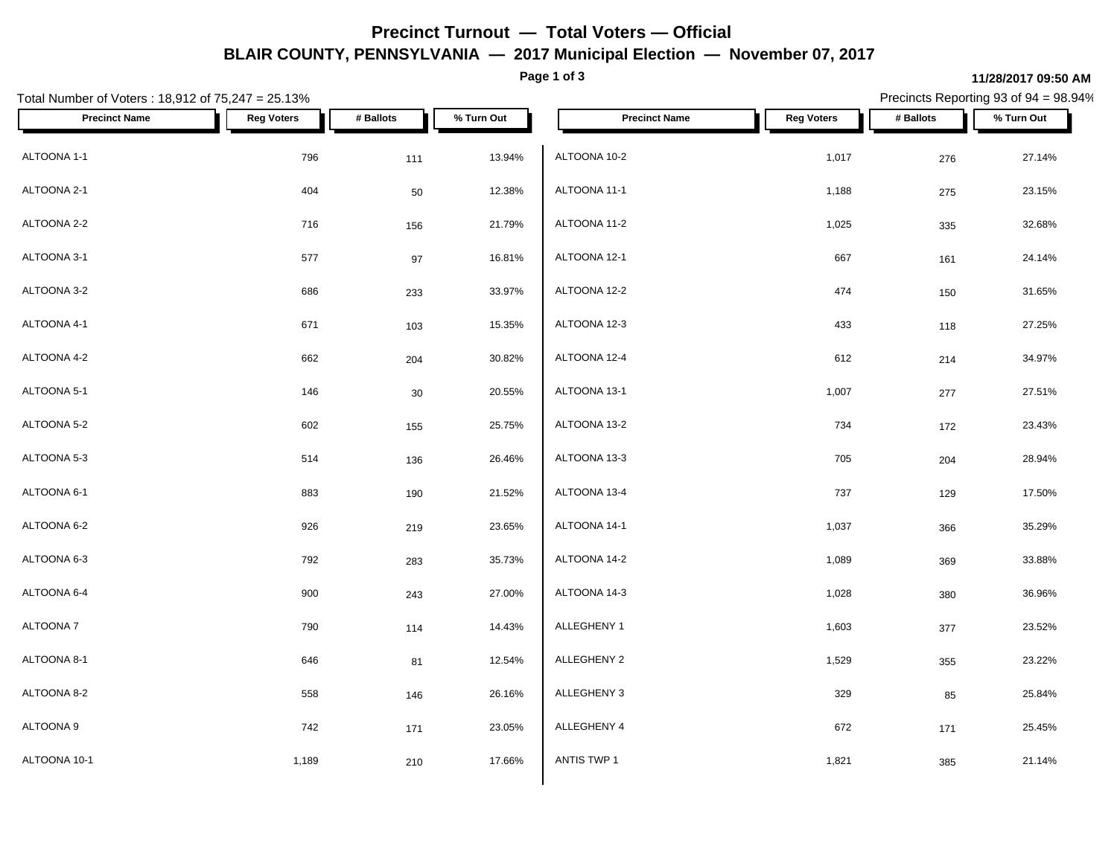## **Precinct Turnout — Total Voters — Official BLAIR COUNTY, PENNSYLVANIA — 2017 Municipal Election — November 07, 2017**

**Page 1 of 3**

Precincts Reporting 93 of 94 = 98.94%

**11/28/2017 09:50 AM**

| Total Number of Voters: 18,912 of 75,247 = 25.13% |                   |           |            | Precincts Reporting 93 of 94 = 98.94% |                   |           |            |  |
|---------------------------------------------------|-------------------|-----------|------------|---------------------------------------|-------------------|-----------|------------|--|
| <b>Precinct Name</b>                              | <b>Reg Voters</b> | # Ballots | % Turn Out | <b>Precinct Name</b>                  | <b>Reg Voters</b> | # Ballots | % Turn Out |  |
| ALTOONA 1-1                                       | 796               | 111       | 13.94%     | ALTOONA 10-2                          | 1,017             | 276       | 27.14%     |  |
| ALTOONA 2-1                                       | 404               | 50        | 12.38%     | ALTOONA 11-1                          | 1,188             | 275       | 23.15%     |  |
| ALTOONA 2-2                                       | 716               | 156       | 21.79%     | ALTOONA 11-2                          | 1,025             | 335       | 32.68%     |  |
| ALTOONA 3-1                                       | 577               | 97        | 16.81%     | ALTOONA 12-1                          | 667               | 161       | 24.14%     |  |
| ALTOONA 3-2                                       | 686               | 233       | 33.97%     | ALTOONA 12-2                          | 474               | 150       | 31.65%     |  |
| ALTOONA 4-1                                       | 671               | 103       | 15.35%     | ALTOONA 12-3                          | 433               | 118       | 27.25%     |  |
| ALTOONA 4-2                                       | 662               | 204       | 30.82%     | ALTOONA 12-4                          | 612               | 214       | 34.97%     |  |
| ALTOONA 5-1                                       | 146               | 30        | 20.55%     | ALTOONA 13-1                          | 1,007             | $277\,$   | 27.51%     |  |
| ALTOONA 5-2                                       | 602               | 155       | 25.75%     | ALTOONA 13-2                          | 734               | 172       | 23.43%     |  |
| ALTOONA 5-3                                       | 514               | 136       | 26.46%     | ALTOONA 13-3                          | 705               | 204       | 28.94%     |  |
| ALTOONA 6-1                                       | 883               | 190       | 21.52%     | ALTOONA 13-4                          | 737               | 129       | 17.50%     |  |
| ALTOONA 6-2                                       | 926               | 219       | 23.65%     | ALTOONA 14-1                          | 1,037             | 366       | 35.29%     |  |
| ALTOONA 6-3                                       | 792               | 283       | 35.73%     | ALTOONA 14-2                          | 1,089             | 369       | 33.88%     |  |
| ALTOONA 6-4                                       | 900               | 243       | 27.00%     | ALTOONA 14-3                          | 1,028             | 380       | 36.96%     |  |
| ALTOONA 7                                         | 790               | 114       | 14.43%     | ALLEGHENY 1                           | 1,603             | 377       | 23.52%     |  |
| ALTOONA 8-1                                       | 646               | 81        | 12.54%     | ALLEGHENY 2                           | 1,529             | 355       | 23.22%     |  |
| ALTOONA 8-2                                       | 558               | 146       | 26.16%     | ALLEGHENY 3                           | 329               | 85        | 25.84%     |  |
| ALTOONA 9                                         | 742               | 171       | 23.05%     | ALLEGHENY 4                           | 672               | 171       | 25.45%     |  |
| ALTOONA 10-1                                      | 1,189             | 210       | 17.66%     | ANTIS TWP 1                           | 1,821             | 385       | 21.14%     |  |
|                                                   |                   |           |            |                                       |                   |           |            |  |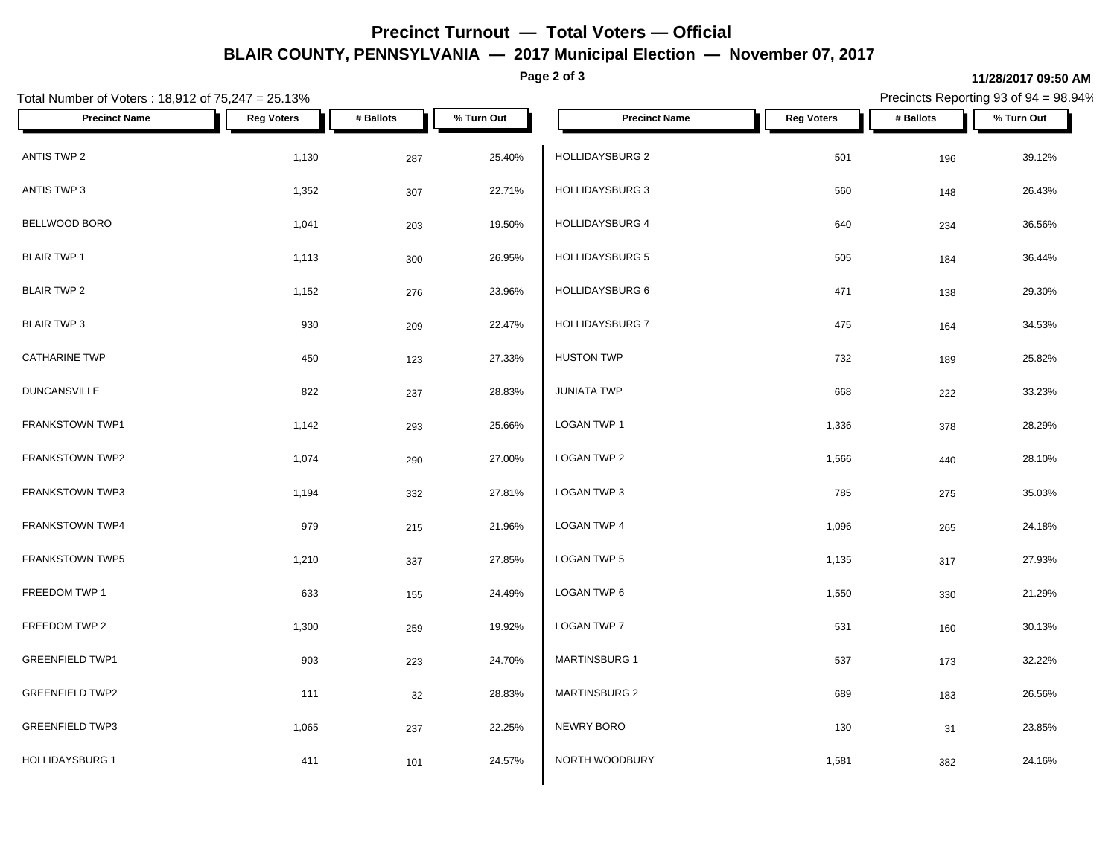## **Precinct Turnout — Total Voters — Official BLAIR COUNTY, PENNSYLVANIA — 2017 Municipal Election — November 07, 2017**

**Page 2 of 3**

## **11/28/2017 09:50 AM**

Precincts Reporting 93 of 94 = 98.94%

| Total Number of Voters: 18,912 of 75,247 = 25.13% |                   | Precincts Reporting 93 of 94 = 98.94% |            |                      |                   |           |            |
|---------------------------------------------------|-------------------|---------------------------------------|------------|----------------------|-------------------|-----------|------------|
| <b>Precinct Name</b>                              | <b>Reg Voters</b> | # Ballots                             | % Turn Out | <b>Precinct Name</b> | <b>Reg Voters</b> | # Ballots | % Turn Out |
| ANTIS TWP 2                                       | 1,130             | 287                                   | 25.40%     | HOLLIDAYSBURG 2      | 501               | 196       | 39.12%     |
| ANTIS TWP 3                                       | 1,352             | 307                                   | 22.71%     | HOLLIDAYSBURG 3      | 560               | 148       | 26.43%     |
| BELLWOOD BORO                                     | 1,041             | 203                                   | 19.50%     | HOLLIDAYSBURG 4      | 640               | 234       | 36.56%     |
| <b>BLAIR TWP 1</b>                                | 1,113             | 300                                   | 26.95%     | HOLLIDAYSBURG 5      | 505               | 184       | 36.44%     |
| <b>BLAIR TWP 2</b>                                | 1,152             | 276                                   | 23.96%     | HOLLIDAYSBURG 6      | 471               | 138       | 29.30%     |
| <b>BLAIR TWP 3</b>                                | 930               | 209                                   | 22.47%     | HOLLIDAYSBURG 7      | 475               | 164       | 34.53%     |
| <b>CATHARINE TWP</b>                              | 450               | 123                                   | 27.33%     | <b>HUSTON TWP</b>    | 732               | 189       | 25.82%     |
| <b>DUNCANSVILLE</b>                               | 822               | 237                                   | 28.83%     | <b>JUNIATA TWP</b>   | 668               | 222       | 33.23%     |
| FRANKSTOWN TWP1                                   | 1,142             | 293                                   | 25.66%     | LOGAN TWP 1          | 1,336             | 378       | 28.29%     |
| FRANKSTOWN TWP2                                   | 1,074             | 290                                   | 27.00%     | LOGAN TWP 2          | 1,566             | 440       | 28.10%     |
| <b>FRANKSTOWN TWP3</b>                            | 1,194             | 332                                   | 27.81%     | LOGAN TWP 3          | 785               | 275       | 35.03%     |
| FRANKSTOWN TWP4                                   | 979               | 215                                   | 21.96%     | LOGAN TWP 4          | 1,096             | 265       | 24.18%     |
| FRANKSTOWN TWP5                                   | 1,210             | 337                                   | 27.85%     | LOGAN TWP 5          | 1,135             | 317       | 27.93%     |
| FREEDOM TWP 1                                     | 633               | 155                                   | 24.49%     | LOGAN TWP 6          | 1,550             | 330       | 21.29%     |
| FREEDOM TWP 2                                     | 1,300             | 259                                   | 19.92%     | LOGAN TWP 7          | 531               | 160       | 30.13%     |
| <b>GREENFIELD TWP1</b>                            | 903               | 223                                   | 24.70%     | <b>MARTINSBURG 1</b> | 537               | 173       | 32.22%     |
| <b>GREENFIELD TWP2</b>                            | 111               | 32                                    | 28.83%     | <b>MARTINSBURG 2</b> | 689               | 183       | 26.56%     |
| <b>GREENFIELD TWP3</b>                            | 1,065             | 237                                   | 22.25%     | NEWRY BORO           | 130               | 31        | 23.85%     |
| <b>HOLLIDAYSBURG 1</b>                            | 411               | 101                                   | 24.57%     | NORTH WOODBURY       | 1,581             | 382       | 24.16%     |
|                                                   |                   |                                       |            |                      |                   |           |            |